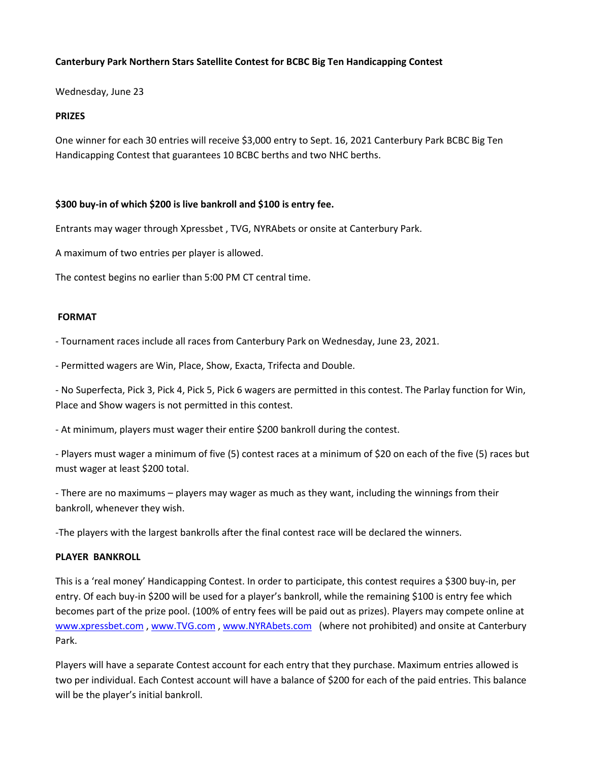### **Canterbury Park Northern Stars Satellite Contest for BCBC Big Ten Handicapping Contest**

Wednesday, June 23

#### **PRIZES**

One winner for each 30 entries will receive \$3,000 entry to Sept. 16, 2021 Canterbury Park BCBC Big Ten Handicapping Contest that guarantees 10 BCBC berths and two NHC berths.

### **\$300 buy-in of which \$200 is live bankroll and \$100 is entry fee.**

Entrants may wager through Xpressbet , TVG, NYRAbets or onsite at Canterbury Park.

A maximum of two entries per player is allowed.

The contest begins no earlier than 5:00 PM CT central time.

#### **FORMAT**

- Tournament races include all races from Canterbury Park on Wednesday, June 23, 2021.

- Permitted wagers are Win, Place, Show, Exacta, Trifecta and Double.

- No Superfecta, Pick 3, Pick 4, Pick 5, Pick 6 wagers are permitted in this contest. The Parlay function for Win, Place and Show wagers is not permitted in this contest.

- At minimum, players must wager their entire \$200 bankroll during the contest.

- Players must wager a minimum of five (5) contest races at a minimum of \$20 on each of the five (5) races but must wager at least \$200 total.

- There are no maximums – players may wager as much as they want, including the winnings from their bankroll, whenever they wish.

-The players with the largest bankrolls after the final contest race will be declared the winners.

### **PLAYER BANKROLL**

This is a 'real money' Handicapping Contest. In order to participate, this contest requires a \$300 buy-in, per entry. Of each buy-in \$200 will be used for a player's bankroll, while the remaining \$100 is entry fee which becomes part of the prize pool. (100% of entry fees will be paid out as prizes). Players may compete online at [www.xpressbet.com](http://www.xpressbet.com/) , [www.TVG.com](http://www.tvg.com/) [, www.NYRAbets.com](http://www.nyrabets.com/) (where not prohibited) and onsite at Canterbury Park.

Players will have a separate Contest account for each entry that they purchase. Maximum entries allowed is two per individual. Each Contest account will have a balance of \$200 for each of the paid entries. This balance will be the player's initial bankroll.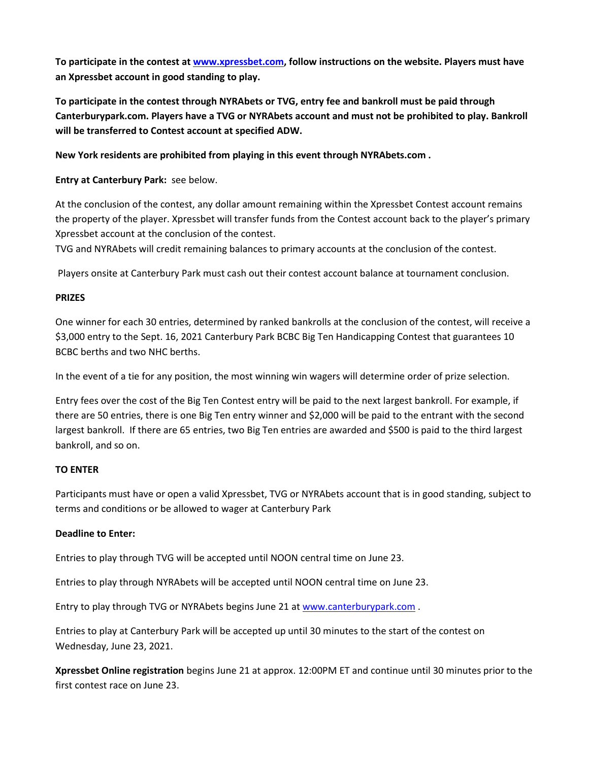**To participate in the contest a[t www.xpressbet.com,](http://www.xpressbet.com/) follow instructions on the website. Players must have an Xpressbet account in good standing to play.**

**To participate in the contest through NYRAbets or TVG, entry fee and bankroll must be paid through Canterburypark.com. Players have a TVG or NYRAbets account and must not be prohibited to play. Bankroll will be transferred to Contest account at specified ADW.**

**New York residents are prohibited from playing in this event through NYRAbets.com .**

**Entry at Canterbury Park:** see below.

At the conclusion of the contest, any dollar amount remaining within the Xpressbet Contest account remains the property of the player. Xpressbet will transfer funds from the Contest account back to the player's primary Xpressbet account at the conclusion of the contest.

TVG and NYRAbets will credit remaining balances to primary accounts at the conclusion of the contest.

Players onsite at Canterbury Park must cash out their contest account balance at tournament conclusion.

### **PRIZES**

One winner for each 30 entries, determined by ranked bankrolls at the conclusion of the contest, will receive a \$3,000 entry to the Sept. 16, 2021 Canterbury Park BCBC Big Ten Handicapping Contest that guarantees 10 BCBC berths and two NHC berths.

In the event of a tie for any position, the most winning win wagers will determine order of prize selection.

Entry fees over the cost of the Big Ten Contest entry will be paid to the next largest bankroll. For example, if there are 50 entries, there is one Big Ten entry winner and \$2,000 will be paid to the entrant with the second largest bankroll. If there are 65 entries, two Big Ten entries are awarded and \$500 is paid to the third largest bankroll, and so on.

### **TO ENTER**

Participants must have or open a valid Xpressbet, TVG or NYRAbets account that is in good standing, subject to terms and conditions or be allowed to wager at Canterbury Park

# **Deadline to Enter:**

Entries to play through TVG will be accepted until NOON central time on June 23.

Entries to play through NYRAbets will be accepted until NOON central time on June 23.

Entry to play through TVG or NYRAbets begins June 21 a[t www.canterburypark.com](http://www.canterburypark.com/) .

Entries to play at Canterbury Park will be accepted up until 30 minutes to the start of the contest on Wednesday, June 23, 2021.

**Xpressbet Online registration** begins June 21 at approx. 12:00PM ET and continue until 30 minutes prior to the first contest race on June 23.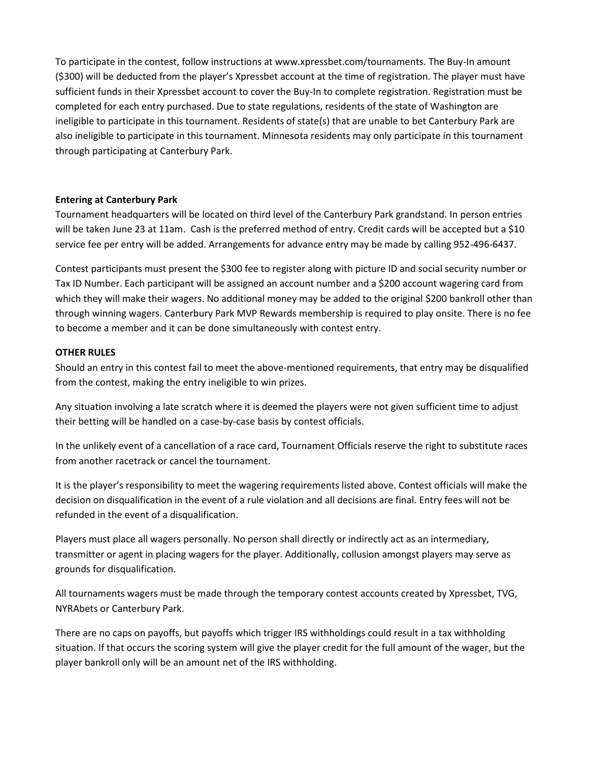To participate in the contest, follow instructions at www.xpressbet.com/tournaments. The Buy-In amount (\$300) will be deducted from the player's Xpressbet account at the time of registration. The player must have sufficient funds in their Xpressbet account to cover the Buy-In to complete registration. Registration must be completed for each entry purchased. Due to state regulations, residents of the state of Washington are ineligible to participate in this tournament. Residents of state(s) that are unable to bet Canterbury Park are also ineligible to participate in this tournament. Minnesota residents may only participate in this tournament through participating at Canterbury Park.

### **Entering at Canterbury Park**

Tournament headquarters will be located on third level of the Canterbury Park grandstand. In person entries will be taken June 23 at 11am. Cash is the preferred method of entry. Credit cards will be accepted but a \$10 service fee per entry will be added. Arrangements for advance entry may be made by calling 952-496-6437.

Contest participants must present the \$300 fee to register along with picture ID and social security number or Tax ID Number. Each participant will be assigned an account number and a \$200 account wagering card from which they will make their wagers. No additional money may be added to the original \$200 bankroll other than through winning wagers. Canterbury Park MVP Rewards membership is required to play onsite. There is no fee to become a member and it can be done simultaneously with contest entry.

### **OTHER RULES**

Should an entry in this contest fail to meet the above-mentioned requirements, that entry may be disqualified from the contest, making the entry ineligible to win prizes.

Any situation involving a late scratch where it is deemed the players were not given sufficient time to adjust their betting will be handled on a case-by-case basis by contest officials.

In the unlikely event of a cancellation of a race card, Tournament Officials reserve the right to substitute races from another racetrack or cancel the tournament.

It is the player's responsibility to meet the wagering requirements listed above. Contest officials will make the decision on disqualification in the event of a rule violation and all decisions are final. Entry fees will not be refunded in the event of a disqualification.

Players must place all wagers personally. No person shall directly or indirectly act as an intermediary, transmitter or agent in placing wagers for the player. Additionally, collusion amongst players may serve as grounds for disqualification.

All tournaments wagers must be made through the temporary contest accounts created by Xpressbet, TVG, NYRAbets or Canterbury Park.

There are no caps on payoffs, but payoffs which trigger IRS withholdings could result in a tax withholding situation. If that occurs the scoring system will give the player credit for the full amount of the wager, but the player bankroll only will be an amount net of the IRS withholding.